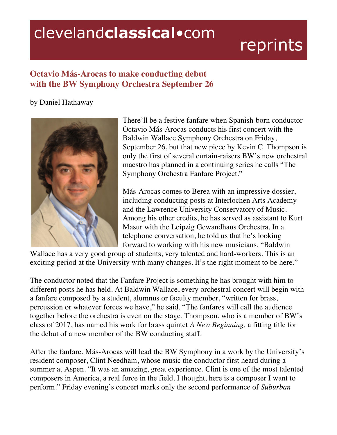## clevelandclassical.com

## reprints

## **Octavio Más-Arocas to make conducting debut with the BW Symphony Orchestra September 26**

## by Daniel Hathaway



There'll be a festive fanfare when Spanish-born conductor Octavio Más-Arocas conducts his first concert with the Baldwin Wallace Symphony Orchestra on Friday, September 26, but that new piece by Kevin C. Thompson is only the first of several curtain-raisers BW's new orchestral maestro has planned in a continuing series he calls "The Symphony Orchestra Fanfare Project."

Más-Arocas comes to Berea with an impressive dossier, including conducting posts at Interlochen Arts Academy and the Lawrence University Conservatory of Music. Among his other credits, he has served as assistant to Kurt Masur with the Leipzig Gewandhaus Orchestra. In a telephone conversation, he told us that he's looking forward to working with his new musicians. "Baldwin

Wallace has a very good group of students, very talented and hard-workers. This is an exciting period at the University with many changes. It's the right moment to be here."

The conductor noted that the Fanfare Project is something he has brought with him to different posts he has held. At Baldwin Wallace, every orchestral concert will begin with a fanfare composed by a student, alumnus or faculty member, "written for brass, percussion or whatever forces we have," he said. "The fanfares will call the audience together before the orchestra is even on the stage. Thompson, who is a member of BW's class of 2017, has named his work for brass quintet *A New Beginning,* a fitting title for the debut of a new member of the BW conducting staff.

After the fanfare, Más-Arocas will lead the BW Symphony in a work by the University's resident composer, Clint Needham, whose music the conductor first heard during a summer at Aspen. "It was an amazing, great experience. Clint is one of the most talented composers in America, a real force in the field. I thought, here is a composer I want to perform." Friday evening's concert marks only the second performance of *Suburban*